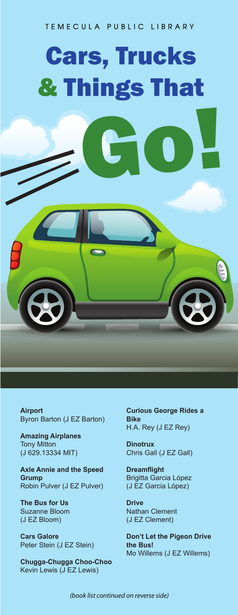## **TEMECULA PUBLIC LIBRARY**

## Cars, Trucks & Things That Go!

**Airport**  Byron Barton (J EZ Barton)

**Amazing Airplanes**  Tony Mitton (J 629.13334 MIT)

**Axle Annie and the Speed Grump** Robin Pulver (J EZ Pulver)

**The Bus for Us** Suzanne Bloom (J EZ Bloom)

**Cars Galore** Peter Stein (J EZ Stein)

**Chugga-Chugga Choo-Choo** Kevin Lewis (J EZ Lewis)

**Curious George Rides a Bike** H.A. Rey (J EZ Rey)

**Dinotrux** Chris Gall (J EZ Gall)

**Dreamflight** Brigitta Garcia López (J EZ Garcia López)

**Drive** Nathan Clement (J EZ Clement)

**Don't Let the Pigeon Drive the Bus!** Mo Willems (J EZ Willems)

*(book list continued on reverse side)*